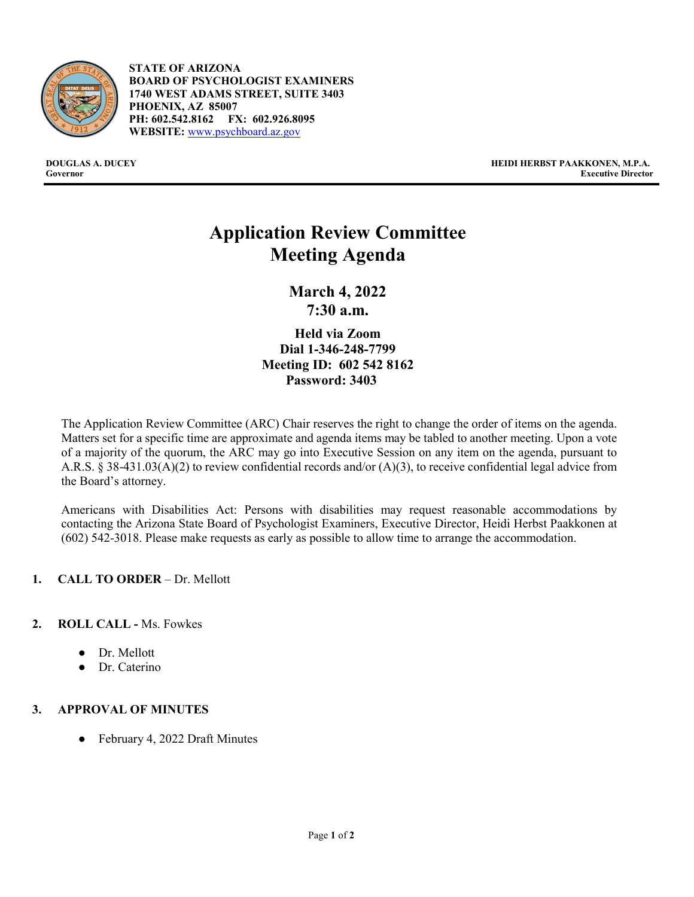

- **STATE OF ARIZONA BOARD OF PSYCHOLOGIST EXAMINERS 1740 WEST ADAMS STREET, SUITE 3403 PHOENIX, AZ 85007 PH: 602.542.8162 FX: 602.926.8095 WEBSITE:** [www.psychboard.az.gov](http://www.psychboard.az.gov/)

**DOUGLAS A. DUCEY HEIDI HERBST PAAKKONEN, M.P.A. Executive Director** 

# **Application Review Committee Meeting Agenda**

**March 4, 2022 7:30 a.m.**

**Held via Zoom Dial 1-346-248-7799 Meeting ID: 602 542 8162 Password: 3403**

The Application Review Committee (ARC) Chair reserves the right to change the order of items on the agenda. Matters set for a specific time are approximate and agenda items may be tabled to another meeting. Upon a vote of a majority of the quorum, the ARC may go into Executive Session on any item on the agenda, pursuant to A.R.S. § 38-431.03(A)(2) to review confidential records and/or (A)(3), to receive confidential legal advice from the Board's attorney.

Americans with Disabilities Act: Persons with disabilities may request reasonable accommodations by contacting the Arizona State Board of Psychologist Examiners, Executive Director, Heidi Herbst Paakkonen at (602) 542-3018. Please make requests as early as possible to allow time to arrange the accommodation.

## **1. CALL TO ORDER** – Dr. Mellott

## **2. ROLL CALL -** Ms. Fowkes

- Dr. Mellott
- Dr. Caterino

## **3. APPROVAL OF MINUTES**

● February 4, 2022 Draft Minutes